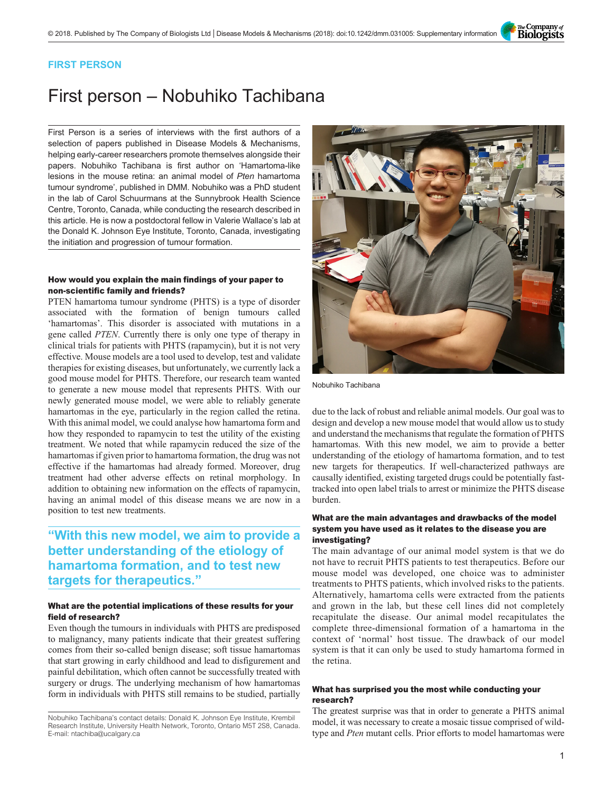The Company of<br>**Biologists** 

### FIRST PERSON

# First person – Nobuhiko Tachibana

First Person is a series of interviews with the first authors of a selection of papers published in Disease Models & Mechanisms, helping early-career researchers promote themselves alongside their papers. Nobuhiko Tachibana is first author on '[Hamartoma-like](#page-1-0) [lesions in the mouse retina: an animal model of](#page-1-0) Pten hamartoma [tumour syndrome](#page-1-0)', published in DMM. Nobuhiko was a PhD student in the lab of Carol Schuurmans at the Sunnybrook Health Science Centre, Toronto, Canada, while conducting the research described in this article. He is now a postdoctoral fellow in Valerie Wallace's lab at the Donald K. Johnson Eye Institute, Toronto, Canada, investigating the initiation and progression of tumour formation.

#### How would you explain the main findings of your paper to non-scientific family and friends?

PTEN hamartoma tumour syndrome (PHTS) is a type of disorder associated with the formation of benign tumours called 'hamartomas'. This disorder is associated with mutations in a gene called PTEN. Currently there is only one type of therapy in clinical trials for patients with PHTS (rapamycin), but it is not very effective. Mouse models are a tool used to develop, test and validate therapies for existing diseases, but unfortunately, we currently lack a good mouse model for PHTS. Therefore, our research team wanted to generate a new mouse model that represents PHTS. With our newly generated mouse model, we were able to reliably generate hamartomas in the eye, particularly in the region called the retina. With this animal model, we could analyse how hamartoma form and how they responded to rapamycin to test the utility of the existing treatment. We noted that while rapamycin reduced the size of the hamartomas if given prior to hamartoma formation, the drug was not effective if the hamartomas had already formed. Moreover, drug treatment had other adverse effects on retinal morphology. In addition to obtaining new information on the effects of rapamycin, having an animal model of this disease means we are now in a position to test new treatments.

## "With this new model, we aim to provide a better understanding of the etiology of hamartoma formation, and to test new targets for therapeutics."

#### What are the potential implications of these results for your field of research?

Even though the tumours in individuals with PHTS are predisposed to malignancy, many patients indicate that their greatest suffering comes from their so-called benign disease; soft tissue hamartomas that start growing in early childhood and lead to disfigurement and painful debilitation, which often cannot be successfully treated with surgery or drugs. The underlying mechanism of how hamartomas form in individuals with PHTS still remains to be studied, partially

Nobuhiko Tachibana's contact details: Donald K. Johnson Eye Institute, Krembil Research Institute, University Health Network, Toronto, Ontario M5T 2S8, Canada. E-mail: [ntachiba@ucalgary.ca](mailto:ntachiba@ucalgary.ca)



Nobuhiko Tachibana

due to the lack of robust and reliable animal models. Our goal was to design and develop a new mouse model that would allow us to study and understand the mechanisms that regulate the formation of PHTS hamartomas. With this new model, we aim to provide a better understanding of the etiology of hamartoma formation, and to test new targets for therapeutics. If well-characterized pathways are causally identified, existing targeted drugs could be potentially fasttracked into open label trials to arrest or minimize the PHTS disease burden.

#### What are the main advantages and drawbacks of the model system you have used as it relates to the disease you are investigating?

The main advantage of our animal model system is that we do not have to recruit PHTS patients to test therapeutics. Before our mouse model was developed, one choice was to administer treatments to PHTS patients, which involved risks to the patients. Alternatively, hamartoma cells were extracted from the patients and grown in the lab, but these cell lines did not completely recapitulate the disease. Our animal model recapitulates the complete three-dimensional formation of a hamartoma in the context of 'normal' host tissue. The drawback of our model system is that it can only be used to study hamartoma formed in the retina.

#### What has surprised you the most while conducting your research?

The greatest surprise was that in order to generate a PHTS animal model, it was necessary to create a mosaic tissue comprised of wildtype and Pten mutant cells. Prior efforts to model hamartomas were